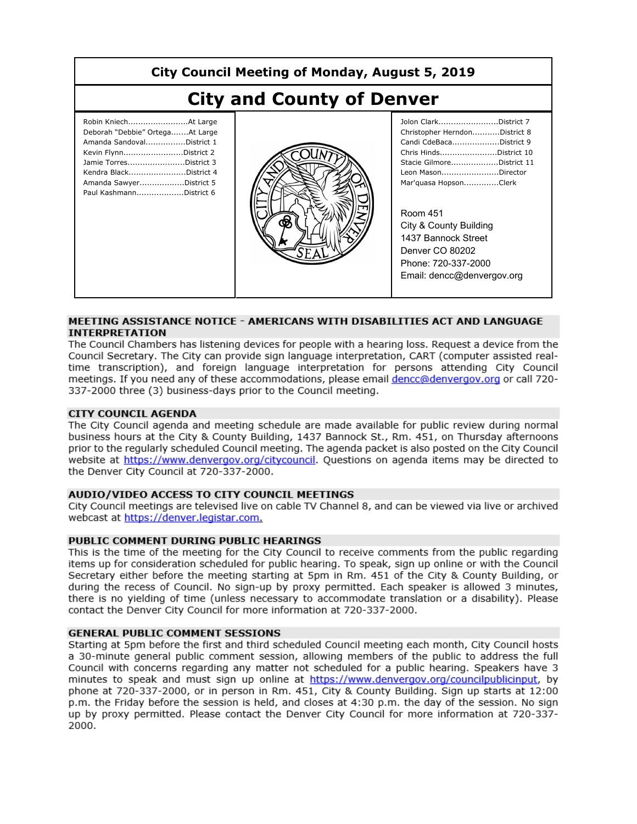| City Council Meeting of Monday, August 5, 2019                                                                                                                                                                          |  |                                                                                                                                                                                                                                                                                                                                     |
|-------------------------------------------------------------------------------------------------------------------------------------------------------------------------------------------------------------------------|--|-------------------------------------------------------------------------------------------------------------------------------------------------------------------------------------------------------------------------------------------------------------------------------------------------------------------------------------|
| <b>City and County of Denver</b>                                                                                                                                                                                        |  |                                                                                                                                                                                                                                                                                                                                     |
| Robin KniechAt Large<br>Deborah "Debbie" OrtegaAt Large<br>Amanda SandovalDistrict 1<br>Kevin FlynnDistrict 2<br>Jamie TorresDistrict 3<br>Kendra BlackDistrict 4<br>Amanda SawyerDistrict 5<br>Paul KashmannDistrict 6 |  | Jolon ClarkDistrict 7<br>Christopher HerndonDistrict 8<br>Candi CdeBacaDistrict 9<br>Chris HindsDistrict 10<br>Stacie GilmoreDistrict 11<br>Leon MasonDirector<br>Mar'quasa HopsonClerk<br><b>Room 451</b><br>City & County Building<br>1437 Bannock Street<br>Denver CO 80202<br>Phone: 720-337-2000<br>Email: dencc@denvergov.org |

#### MEETING ASSISTANCE NOTICE - AMERICANS WITH DISABILITIES ACT AND LANGUAGE **INTERPRETATION**

The Council Chambers has listening devices for people with a hearing loss. Request a device from the Council Secretary. The City can provide sign language interpretation, CART (computer assisted realtime transcription), and foreign language interpretation for persons attending City Council meetings. If you need any of these accommodations, please email dencc@denvergov.org or call 720-337-2000 three (3) business-days prior to the Council meeting.

#### **CITY COUNCIL AGENDA**

The City Council agenda and meeting schedule are made available for public review during normal business hours at the City & County Building, 1437 Bannock St., Rm, 451, on Thursday afternoons prior to the regularly scheduled Council meeting. The agenda packet is also posted on the City Council website at https://www.denvergov.org/citycouncil. Questions on agenda items may be directed to the Denver City Council at 720-337-2000.

#### AUDIO/VIDEO ACCESS TO CITY COUNCIL MEETINGS

City Council meetings are televised live on cable TV Channel 8, and can be viewed via live or archived webcast at https://denver.legistar.com.

#### PUBLIC COMMENT DURING PUBLIC HEARINGS

This is the time of the meeting for the City Council to receive comments from the public regarding items up for consideration scheduled for public hearing. To speak, sign up online or with the Council Secretary either before the meeting starting at 5pm in Rm. 451 of the City & County Building, or during the recess of Council. No sign-up by proxy permitted. Each speaker is allowed 3 minutes, there is no yielding of time (unless necessary to accommodate translation or a disability). Please contact the Denver City Council for more information at 720-337-2000.

#### **GENERAL PUBLIC COMMENT SESSIONS**

Starting at 5pm before the first and third scheduled Council meeting each month, City Council hosts a 30-minute general public comment session, allowing members of the public to address the full Council with concerns regarding any matter not scheduled for a public hearing. Speakers have 3 minutes to speak and must sign up online at https://www.denvergov.org/councilpublicinput, by phone at 720-337-2000, or in person in Rm. 451, City & County Building. Sign up starts at 12:00 p.m. the Friday before the session is held, and closes at 4:30 p.m. the day of the session. No sign up by proxy permitted. Please contact the Denver City Council for more information at 720-337-2000.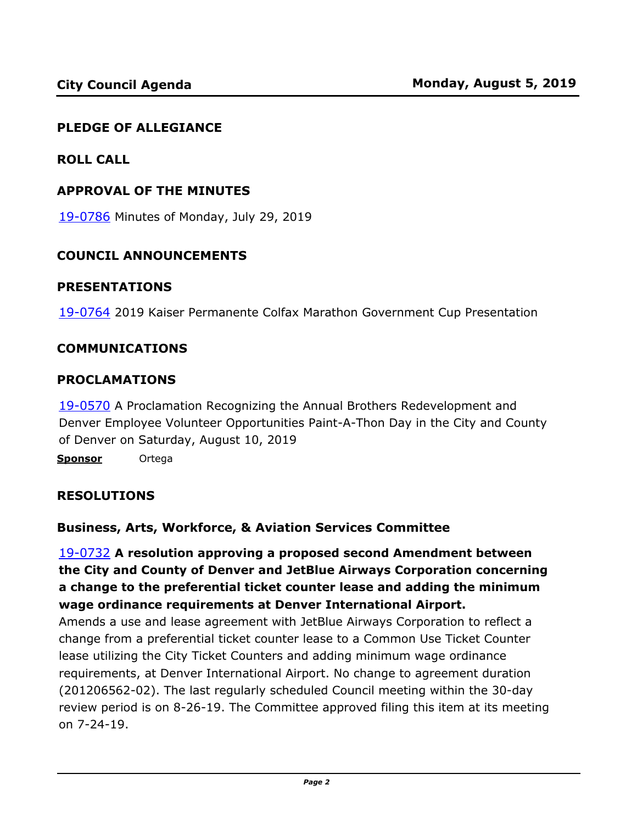#### **PLEDGE OF ALLEGIANCE**

**ROLL CALL**

#### **APPROVAL OF THE MINUTES**

19-0786 [Minutes of Monday, July 29, 2019](http://denver.legistar.com/gateway.aspx?m=l&id=/matter.aspx?key=15327)

#### **COUNCIL ANNOUNCEMENTS**

#### **PRESENTATIONS**

19-0764 [2019 Kaiser Permanente Colfax Marathon Government Cup Presentation](http://denver.legistar.com/gateway.aspx?m=l&id=/matter.aspx?key=15305)

#### **COMMUNICATIONS**

#### **PROCLAMATIONS**

19-0570 A Proclamation Recognizing the Annual Brothers Redevelopment and [Denver Employee Volunteer Opportunities Paint-A-Thon Day in the City and County](http://denver.legistar.com/gateway.aspx?m=l&id=/matter.aspx?key=15111)  of Denver on Saturday, August 10, 2019

**Sponsor** Ortega

#### **RESOLUTIONS**

#### **Business, Arts, Workforce, & Aviation Services Committee**

19-0732 **A resolution approving a proposed second Amendment between the City and County of Denver and JetBlue Airways Corporation concerning a change to the preferential ticket counter lease and adding the minimum wage ordinance requirements at Denver International Airport.**

Amends a use and lease agreement with JetBlue Airways Corporation to reflect a change from a preferential ticket counter lease to a Common Use Ticket Counter lease utilizing the City Ticket Counters and adding minimum wage ordinance requirements, at Denver International Airport. No change to agreement duration (201206562-02). The last regularly scheduled Council meeting within the 30-day [review period is on 8-26-19. The Committee approved filing this item at its meeting](http://denver.legistar.com/gateway.aspx?m=l&id=/matter.aspx?key=15273)  on 7-24-19.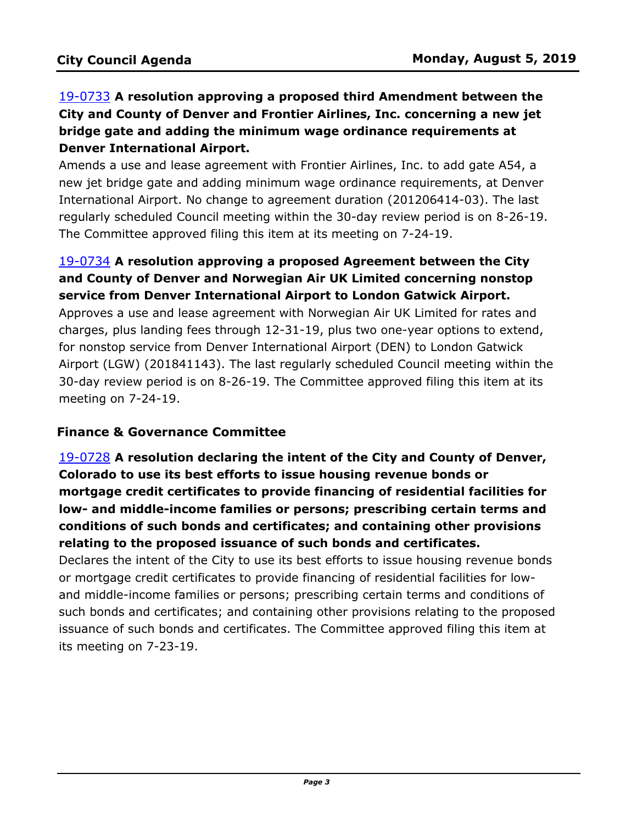# 19-0733 **A resolution approving a proposed third Amendment between the City and County of Denver and Frontier Airlines, Inc. concerning a new jet bridge gate and adding the minimum wage ordinance requirements at Denver International Airport.**

Amends a use and lease agreement with Frontier Airlines, Inc. to add gate A54, a new jet bridge gate and adding minimum wage ordinance requirements, at Denver International Airport. No change to agreement duration (201206414-03). The last [regularly scheduled Council meeting within the 30-day review period is on 8-26-19.](http://denver.legistar.com/gateway.aspx?m=l&id=/matter.aspx?key=15274)  The Committee approved filing this item at its meeting on 7-24-19.

# 19-0734 **A resolution approving a proposed Agreement between the City and County of Denver and Norwegian Air UK Limited concerning nonstop service from Denver International Airport to London Gatwick Airport.**

Approves a use and lease agreement with Norwegian Air UK Limited for rates and charges, plus landing fees through 12-31-19, plus two one-year options to extend, for nonstop service from Denver International Airport (DEN) to London Gatwick [Airport \(LGW\) \(201841143\). The last regularly scheduled Council meeting within the](http://denver.legistar.com/gateway.aspx?m=l&id=/matter.aspx?key=15275)  30-day review period is on 8-26-19. The Committee approved filing this item at its meeting on 7-24-19.

#### **Finance & Governance Committee**

19-0728 **A resolution declaring the intent of the City and County of Denver, Colorado to use its best efforts to issue housing revenue bonds or mortgage credit certificates to provide financing of residential facilities for low- and middle-income families or persons; prescribing certain terms and conditions of such bonds and certificates; and containing other provisions relating to the proposed issuance of such bonds and certificates.**

Declares the intent of the City to use its best efforts to issue housing revenue bonds or mortgage credit certificates to provide financing of residential facilities for lowand middle-income families or persons; prescribing certain terms and conditions of [such bonds and certificates; and containing other provisions relating to the proposed](http://denver.legistar.com/gateway.aspx?m=l&id=/matter.aspx?key=15269)  issuance of such bonds and certificates. The Committee approved filing this item at its meeting on 7-23-19.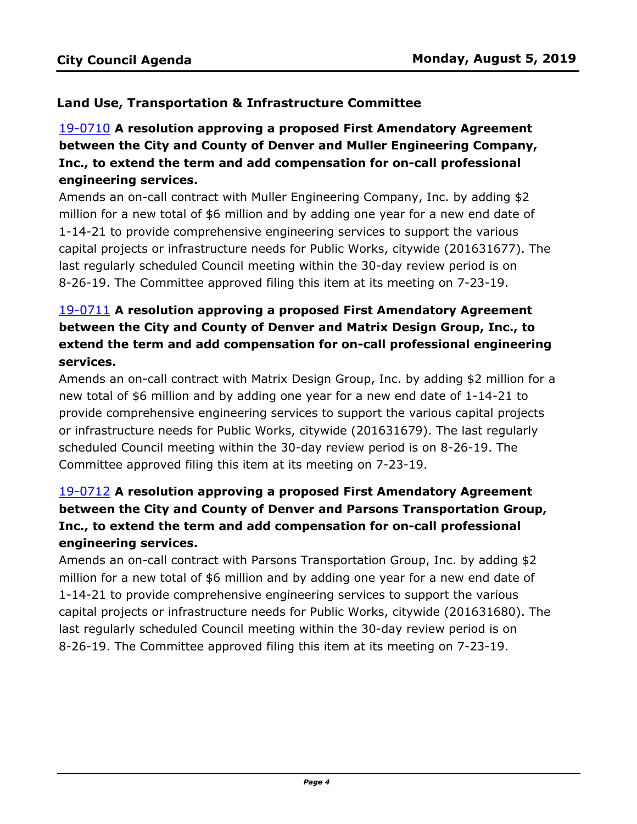# **Land Use, Transportation & Infrastructure Committee**

# 19-0710 **A resolution approving a proposed First Amendatory Agreement between the City and County of Denver and Muller Engineering Company, Inc., to extend the term and add compensation for on-call professional engineering services.**

Amends an on-call contract with Muller Engineering Company, Inc. by adding \$2 million for a new total of \$6 million and by adding one year for a new end date of 1-14-21 to provide comprehensive engineering services to support the various [capital projects or infrastructure needs for Public Works, citywide \(201631677\). The](http://denver.legistar.com/gateway.aspx?m=l&id=/matter.aspx?key=15251)  last regularly scheduled Council meeting within the 30-day review period is on 8-26-19. The Committee approved filing this item at its meeting on 7-23-19.

# 19-0711 **A resolution approving a proposed First Amendatory Agreement between the City and County of Denver and Matrix Design Group, Inc., to extend the term and add compensation for on-call professional engineering services.**

[Amends an on-call contract with Matrix Design Group, Inc. by adding \\$2 million for a](http://denver.legistar.com/gateway.aspx?m=l&id=/matter.aspx?key=15252)  new total of \$6 million and by adding one year for a new end date of 1-14-21 to provide comprehensive engineering services to support the various capital projects or infrastructure needs for Public Works, citywide (201631679). The last regularly scheduled Council meeting within the 30-day review period is on 8-26-19. The Committee approved filing this item at its meeting on 7-23-19.

# 19-0712 **A resolution approving a proposed First Amendatory Agreement between the City and County of Denver and Parsons Transportation Group, Inc., to extend the term and add compensation for on-call professional engineering services.**

Amends an on-call contract with Parsons Transportation Group, Inc. by adding \$2 million for a new total of \$6 million and by adding one year for a new end date of 1-14-21 to provide comprehensive engineering services to support the various [capital projects or infrastructure needs for Public Works, citywide \(201631680\). The](http://denver.legistar.com/gateway.aspx?m=l&id=/matter.aspx?key=15253)  last regularly scheduled Council meeting within the 30-day review period is on 8-26-19. The Committee approved filing this item at its meeting on 7-23-19.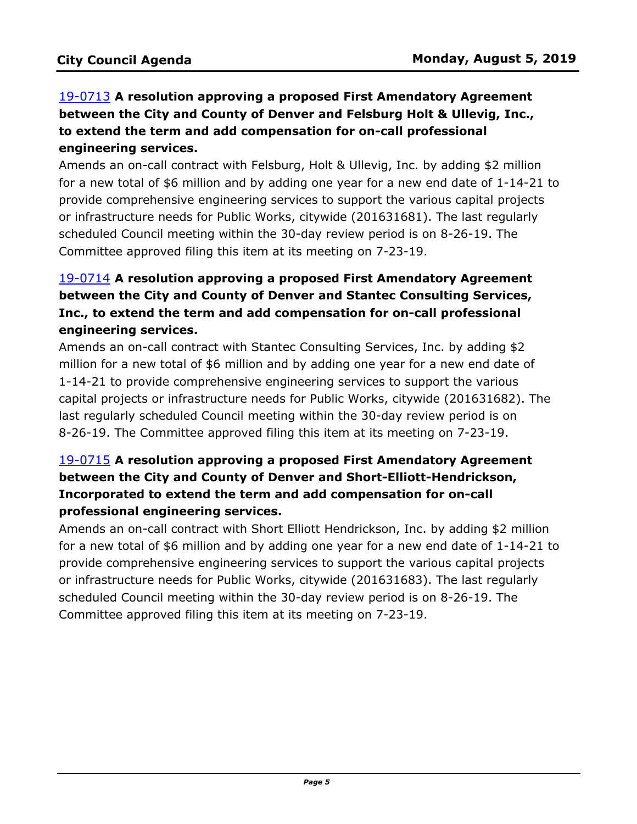# 19-0713 **A resolution approving a proposed First Amendatory Agreement between the City and County of Denver and Felsburg Holt & Ullevig, Inc., to extend the term and add compensation for on-call professional engineering services.**

Amends an on-call contract with Felsburg, Holt & Ullevig, Inc. by adding \$2 million [for a new total of \\$6 million and by adding one year for a new end date of 1-14-21 to](http://denver.legistar.com/gateway.aspx?m=l&id=/matter.aspx?key=15254)  provide comprehensive engineering services to support the various capital projects or infrastructure needs for Public Works, citywide (201631681). The last regularly scheduled Council meeting within the 30-day review period is on 8-26-19. The Committee approved filing this item at its meeting on 7-23-19.

# 19-0714 **A resolution approving a proposed First Amendatory Agreement between the City and County of Denver and Stantec Consulting Services, Inc., to extend the term and add compensation for on-call professional engineering services.**

Amends an on-call contract with Stantec Consulting Services, Inc. by adding \$2 million for a new total of \$6 million and by adding one year for a new end date of 1-14-21 to provide comprehensive engineering services to support the various [capital projects or infrastructure needs for Public Works, citywide \(201631682\). The](http://denver.legistar.com/gateway.aspx?m=l&id=/matter.aspx?key=15255)  last regularly scheduled Council meeting within the 30-day review period is on 8-26-19. The Committee approved filing this item at its meeting on 7-23-19.

# 19-0715 **A resolution approving a proposed First Amendatory Agreement between the City and County of Denver and Short-Elliott-Hendrickson, Incorporated to extend the term and add compensation for on-call professional engineering services.**

Amends an on-call contract with Short Elliott Hendrickson, Inc. by adding \$2 million [for a new total of \\$6 million and by adding one year for a new end date of 1-14-21 to](http://denver.legistar.com/gateway.aspx?m=l&id=/matter.aspx?key=15256)  provide comprehensive engineering services to support the various capital projects or infrastructure needs for Public Works, citywide (201631683). The last regularly scheduled Council meeting within the 30-day review period is on 8-26-19. The Committee approved filing this item at its meeting on 7-23-19.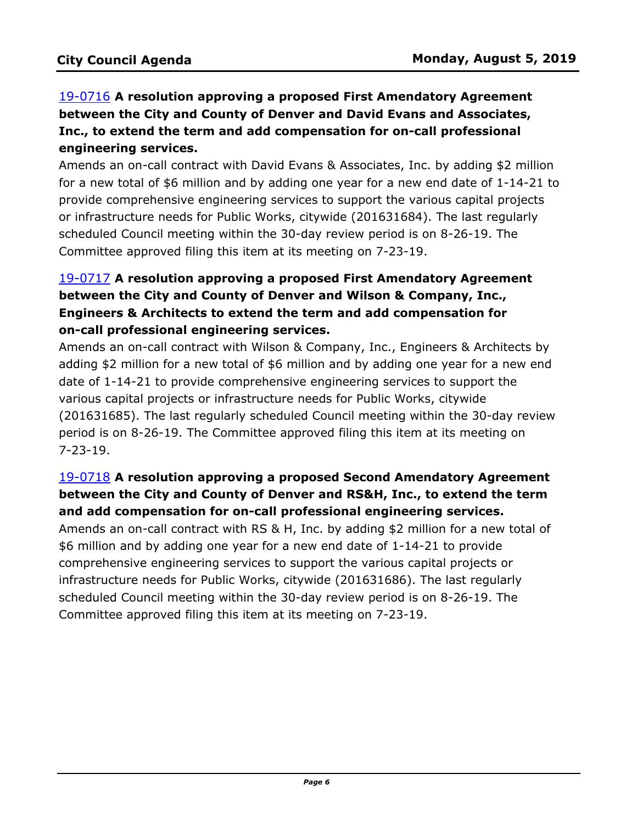# 19-0716 **A resolution approving a proposed First Amendatory Agreement between the City and County of Denver and David Evans and Associates, Inc., to extend the term and add compensation for on-call professional engineering services.**

Amends an on-call contract with David Evans & Associates, Inc. by adding \$2 million [for a new total of \\$6 million and by adding one year for a new end date of 1-14-21 to](http://denver.legistar.com/gateway.aspx?m=l&id=/matter.aspx?key=15257)  provide comprehensive engineering services to support the various capital projects or infrastructure needs for Public Works, citywide (201631684). The last regularly scheduled Council meeting within the 30-day review period is on 8-26-19. The Committee approved filing this item at its meeting on 7-23-19.

# 19-0717 **A resolution approving a proposed First Amendatory Agreement between the City and County of Denver and Wilson & Company, Inc., Engineers & Architects to extend the term and add compensation for on-call professional engineering services.**

Amends an on-call contract with Wilson & Company, Inc., Engineers & Architects by adding \$2 million for a new total of \$6 million and by adding one year for a new end date of 1-14-21 to provide comprehensive engineering services to support the various capital projects or infrastructure needs for Public Works, citywide [\(201631685\). The last regularly scheduled Council meeting within the 30-day review](http://denver.legistar.com/gateway.aspx?m=l&id=/matter.aspx?key=15258)  period is on 8-26-19. The Committee approved filing this item at its meeting on 7-23-19.

## 19-0718 **A resolution approving a proposed Second Amendatory Agreement between the City and County of Denver and RS&H, Inc., to extend the term and add compensation for on-call professional engineering services.**

[Amends an on-call contract with RS & H, Inc. by adding \\$2 million for a new total of](http://denver.legistar.com/gateway.aspx?m=l&id=/matter.aspx?key=15259)  \$6 million and by adding one year for a new end date of 1-14-21 to provide comprehensive engineering services to support the various capital projects or infrastructure needs for Public Works, citywide (201631686). The last regularly scheduled Council meeting within the 30-day review period is on 8-26-19. The Committee approved filing this item at its meeting on 7-23-19.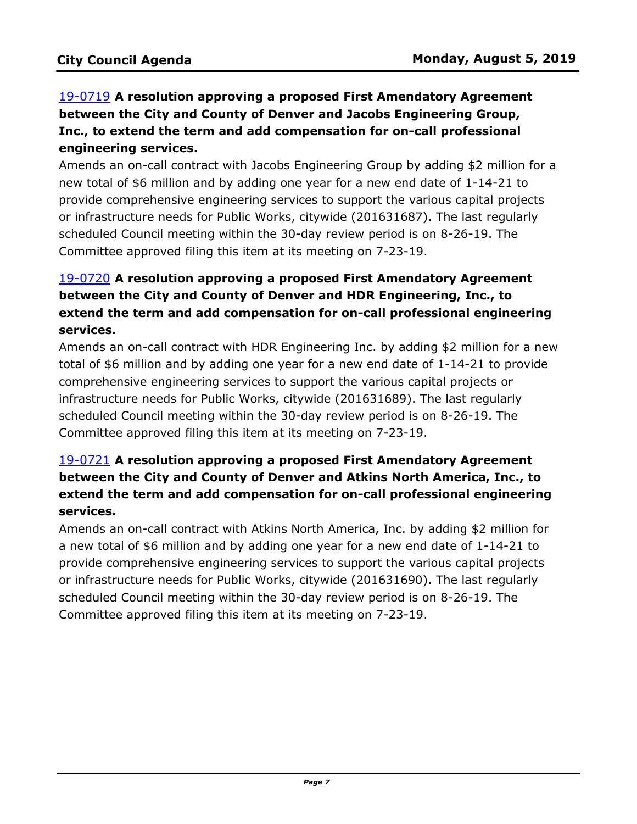# 19-0719 **A resolution approving a proposed First Amendatory Agreement between the City and County of Denver and Jacobs Engineering Group, Inc., to extend the term and add compensation for on-call professional engineering services.**

[Amends an on-call contract with Jacobs Engineering Group by adding \\$2 million for a](http://denver.legistar.com/gateway.aspx?m=l&id=/matter.aspx?key=15260)  new total of \$6 million and by adding one year for a new end date of 1-14-21 to provide comprehensive engineering services to support the various capital projects or infrastructure needs for Public Works, citywide (201631687). The last regularly scheduled Council meeting within the 30-day review period is on 8-26-19. The Committee approved filing this item at its meeting on 7-23-19.

# 19-0720 **A resolution approving a proposed First Amendatory Agreement between the City and County of Denver and HDR Engineering, Inc., to extend the term and add compensation for on-call professional engineering services.**

[Amends an on-call contract with HDR Engineering Inc. by adding \\$2 million for a new](http://denver.legistar.com/gateway.aspx?m=l&id=/matter.aspx?key=15261)  total of \$6 million and by adding one year for a new end date of 1-14-21 to provide comprehensive engineering services to support the various capital projects or infrastructure needs for Public Works, citywide (201631689). The last regularly scheduled Council meeting within the 30-day review period is on 8-26-19. The Committee approved filing this item at its meeting on 7-23-19.

# 19-0721 **A resolution approving a proposed First Amendatory Agreement between the City and County of Denver and Atkins North America, Inc., to [extend the term and add compensation for on-call professional engineering](http://denver.legistar.com/gateway.aspx?m=l&id=/matter.aspx?key=15262)  services.**

Amends an on-call contract with Atkins North America, Inc. by adding \$2 million for a new total of \$6 million and by adding one year for a new end date of 1-14-21 to provide comprehensive engineering services to support the various capital projects or infrastructure needs for Public Works, citywide (201631690). The last regularly scheduled Council meeting within the 30-day review period is on 8-26-19. The Committee approved filing this item at its meeting on 7-23-19.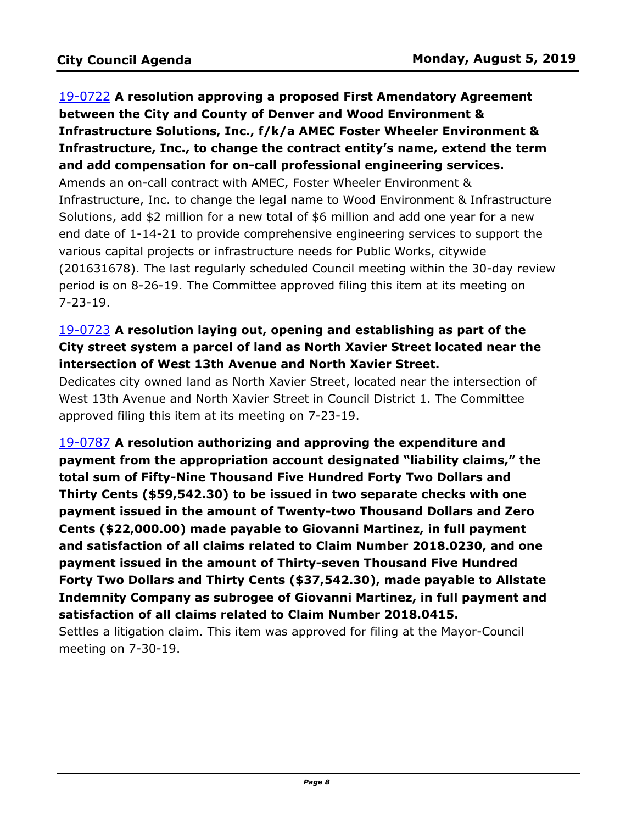19-0722 **A resolution approving a proposed First Amendatory Agreement between the City and County of Denver and Wood Environment & Infrastructure Solutions, Inc., f/k/a AMEC Foster Wheeler Environment & Infrastructure, Inc., to change the contract entity's name, extend the term and add compensation for on-call professional engineering services.** Amends an on-call contract with AMEC, Foster Wheeler Environment & Infrastructure, Inc. to change the legal name to Wood Environment & Infrastructure Solutions, add \$2 million for a new total of \$6 million and add one year for a new end date of 1-14-21 to provide comprehensive engineering services to support the various capital projects or infrastructure needs for Public Works, citywide [\(201631678\). The last regularly scheduled Council meeting within the 30-day review](http://denver.legistar.com/gateway.aspx?m=l&id=/matter.aspx?key=15263)  period is on 8-26-19. The Committee approved filing this item at its meeting on 7-23-19.

# 19-0723 **A resolution laying out, opening and establishing as part of the [City street system a parcel of land as North Xavier Street located near the](http://denver.legistar.com/gateway.aspx?m=l&id=/matter.aspx?key=15264)  intersection of West 13th Avenue and North Xavier Street.**

Dedicates city owned land as North Xavier Street, located near the intersection of West 13th Avenue and North Xavier Street in Council District 1. The Committee approved filing this item at its meeting on 7-23-19.

19-0787 **A resolution authorizing and approving the expenditure and payment from the appropriation account designated "liability claims," the total sum of Fifty-Nine Thousand Five Hundred Forty Two Dollars and Thirty Cents (\$59,542.30) to be issued in two separate checks with one payment issued in the amount of Twenty-two Thousand Dollars and Zero Cents (\$22,000.00) made payable to Giovanni Martinez, in full payment and satisfaction of all claims related to Claim Number 2018.0230, and one payment issued in the amount of Thirty-seven Thousand Five Hundred Forty Two Dollars and Thirty Cents (\$37,542.30), made payable to Allstate [Indemnity Company as subrogee of Giovanni Martinez, in full payment and](http://denver.legistar.com/gateway.aspx?m=l&id=/matter.aspx?key=15328)  satisfaction of all claims related to Claim Number 2018.0415.** 

Settles a litigation claim. This item was approved for filing at the Mayor-Council meeting on 7-30-19.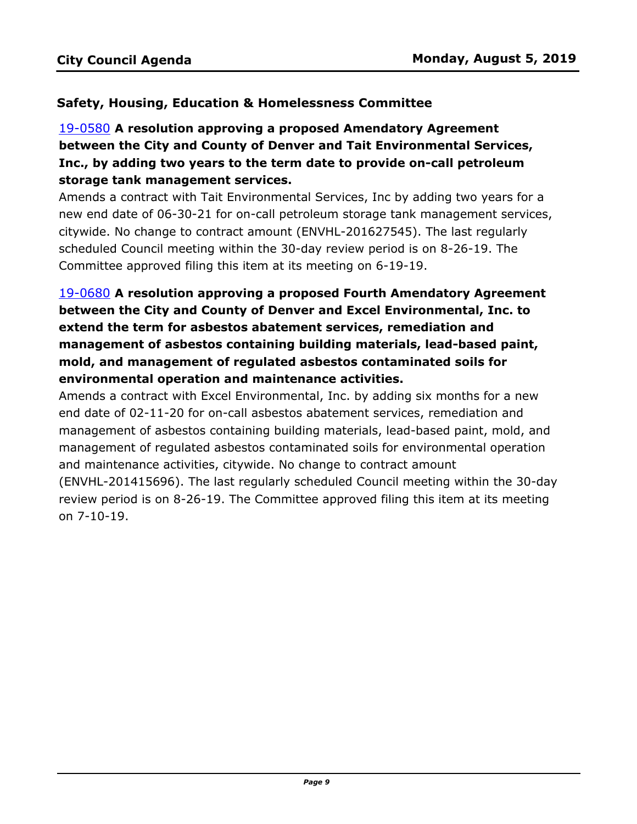### **Safety, Housing, Education & Homelessness Committee**

# 19-0580 **A resolution approving a proposed Amendatory Agreement between the City and County of Denver and Tait Environmental Services, Inc., by adding two years to the term date to provide on-call petroleum storage tank management services.**

Amends a contract with Tait Environmental Services, Inc by adding two years for a [new end date of 06-30-21 for on-call petroleum storage tank management services,](http://denver.legistar.com/gateway.aspx?m=l&id=/matter.aspx?key=15121)  citywide. No change to contract amount (ENVHL-201627545). The last regularly scheduled Council meeting within the 30-day review period is on 8-26-19. The Committee approved filing this item at its meeting on 6-19-19.

# 19-0680 **A resolution approving a proposed Fourth Amendatory Agreement between the City and County of Denver and Excel Environmental, Inc. to extend the term for asbestos abatement services, remediation and management of asbestos containing building materials, lead-based paint, mold, and management of regulated asbestos contaminated soils for environmental operation and maintenance activities.**

Amends a contract with Excel Environmental, Inc. by adding six months for a new end date of 02-11-20 for on-call asbestos abatement services, remediation and management of asbestos containing building materials, lead-based paint, mold, and management of regulated asbestos contaminated soils for environmental operation and maintenance activities, citywide. No change to contract amount [\(ENVHL-201415696\). The last regularly scheduled Council meeting within the 30-day](http://denver.legistar.com/gateway.aspx?m=l&id=/matter.aspx?key=15221)  review period is on 8-26-19. The Committee approved filing this item at its meeting on 7-10-19.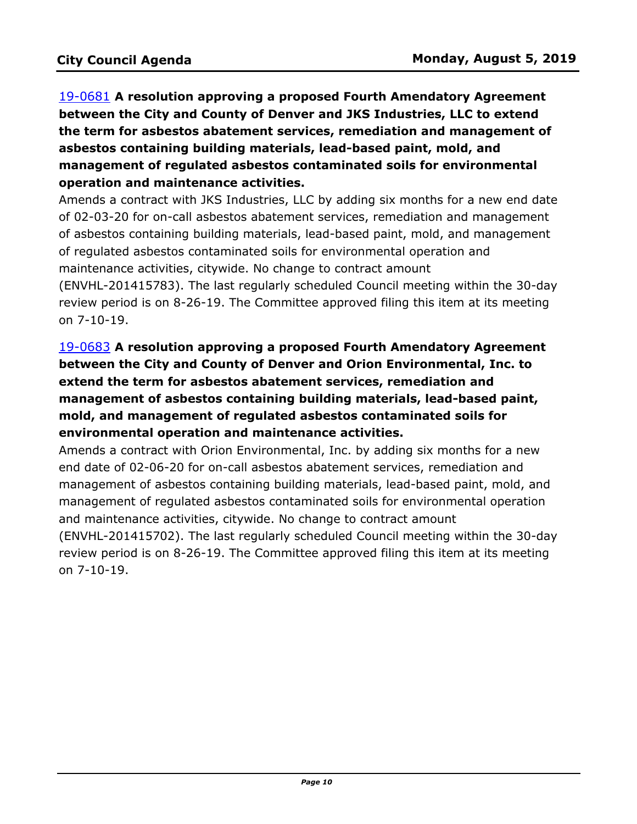19-0681 **A resolution approving a proposed Fourth Amendatory Agreement between the City and County of Denver and JKS Industries, LLC to extend the term for asbestos abatement services, remediation and management of asbestos containing building materials, lead-based paint, mold, and management of regulated asbestos contaminated soils for environmental operation and maintenance activities.**

[Amends a contract with JKS Industries, LLC by adding six months for a new end date](http://denver.legistar.com/gateway.aspx?m=l&id=/matter.aspx?key=15222)  of 02-03-20 for on-call asbestos abatement services, remediation and management of asbestos containing building materials, lead-based paint, mold, and management of regulated asbestos contaminated soils for environmental operation and maintenance activities, citywide. No change to contract amount

(ENVHL-201415783). The last regularly scheduled Council meeting within the 30-day review period is on 8-26-19. The Committee approved filing this item at its meeting on 7-10-19.

# 19-0683 **A resolution approving a proposed Fourth Amendatory Agreement between the City and County of Denver and Orion Environmental, Inc. to extend the term for asbestos abatement services, remediation and management of asbestos containing building materials, lead-based paint, mold, and management of regulated asbestos contaminated soils for environmental operation and maintenance activities.**

Amends a contract with Orion Environmental, Inc. by adding six months for a new end date of 02-06-20 for on-call asbestos abatement services, remediation and management of asbestos containing building materials, lead-based paint, mold, and management of regulated asbestos contaminated soils for environmental operation and maintenance activities, citywide. No change to contract amount [\(ENVHL-201415702\). The last regularly scheduled Council meeting within the 30-day](http://denver.legistar.com/gateway.aspx?m=l&id=/matter.aspx?key=15224)  review period is on 8-26-19. The Committee approved filing this item at its meeting on 7-10-19.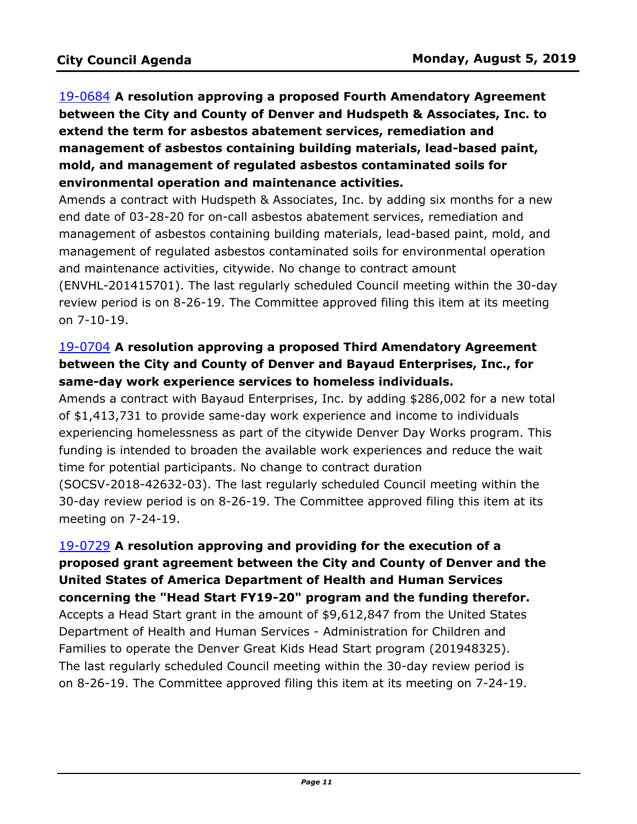19-0684 **A resolution approving a proposed Fourth Amendatory Agreement between the City and County of Denver and Hudspeth & Associates, Inc. to extend the term for asbestos abatement services, remediation and management of asbestos containing building materials, lead-based paint, mold, and management of regulated asbestos contaminated soils for environmental operation and maintenance activities.**

Amends a contract with Hudspeth & Associates, Inc. by adding six months for a new end date of 03-28-20 for on-call asbestos abatement services, remediation and management of asbestos containing building materials, lead-based paint, mold, and management of regulated asbestos contaminated soils for environmental operation and maintenance activities, citywide. No change to contract amount [\(ENVHL-201415701\). The last regularly scheduled Council meeting within the 30-day](http://denver.legistar.com/gateway.aspx?m=l&id=/matter.aspx?key=15225)  review period is on 8-26-19. The Committee approved filing this item at its meeting on 7-10-19.

# 19-0704 **A resolution approving a proposed Third Amendatory Agreement between the City and County of Denver and Bayaud Enterprises, Inc., for same-day work experience services to homeless individuals.**

[Amends a contract with Bayaud Enterprises, Inc. by adding \\$286,002 for a new total](http://denver.legistar.com/gateway.aspx?m=l&id=/matter.aspx?key=15245)  of \$1,413,731 to provide same-day work experience and income to individuals experiencing homelessness as part of the citywide Denver Day Works program. This funding is intended to broaden the available work experiences and reduce the wait time for potential participants. No change to contract duration (SOCSV-2018-42632-03). The last regularly scheduled Council meeting within the 30-day review period is on 8-26-19. The Committee approved filing this item at its meeting on 7-24-19.

19-0729 **A resolution approving and providing for the execution of a [proposed grant agreement between the City and County of Denver and the](http://denver.legistar.com/gateway.aspx?m=l&id=/matter.aspx?key=15270)  United States of America Department of Health and Human Services concerning the "Head Start FY19-20" program and the funding therefor.** Accepts a Head Start grant in the amount of \$9,612,847 from the United States Department of Health and Human Services - Administration for Children and Families to operate the Denver Great Kids Head Start program (201948325). The last regularly scheduled Council meeting within the 30-day review period is on 8-26-19. The Committee approved filing this item at its meeting on 7-24-19.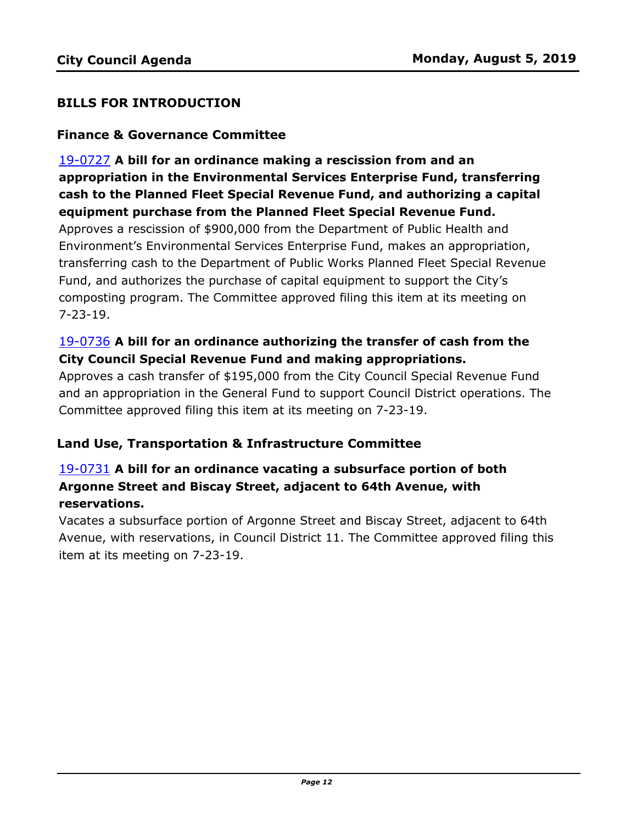#### **BILLS FOR INTRODUCTION**

#### **Finance & Governance Committee**

19-0727 **A bill for an ordinance making a rescission from and an appropriation in the Environmental Services Enterprise Fund, transferring cash to the Planned Fleet Special Revenue Fund, and authorizing a capital equipment purchase from the Planned Fleet Special Revenue Fund.**

Approves a rescission of \$900,000 from the Department of Public Health and Environment's Environmental Services Enterprise Fund, makes an appropriation, [transferring cash to the Department of Public Works Planned Fleet Special Revenue](http://denver.legistar.com/gateway.aspx?m=l&id=/matter.aspx?key=15268)  Fund, and authorizes the purchase of capital equipment to support the City's composting program. The Committee approved filing this item at its meeting on 7-23-19.

#### 19-0736 **A bill for an ordinance authorizing the transfer of cash from the City Council Special Revenue Fund and making appropriations.**

Approves a cash transfer of \$195,000 from the City Council Special Revenue Fund [and an appropriation in the General Fund to support Council District operations. The](http://denver.legistar.com/gateway.aspx?m=l&id=/matter.aspx?key=15277)  Committee approved filing this item at its meeting on 7-23-19.

#### **Land Use, Transportation & Infrastructure Committee**

## 19-0731 **A bill for an ordinance vacating a subsurface portion of both Argonne Street and Biscay Street, adjacent to 64th Avenue, with reservations.**

Vacates a subsurface portion of Argonne Street and Biscay Street, adjacent to 64th [Avenue, with reservations, in Council District 11. The Committee approved filing this](http://denver.legistar.com/gateway.aspx?m=l&id=/matter.aspx?key=15272)  item at its meeting on 7-23-19.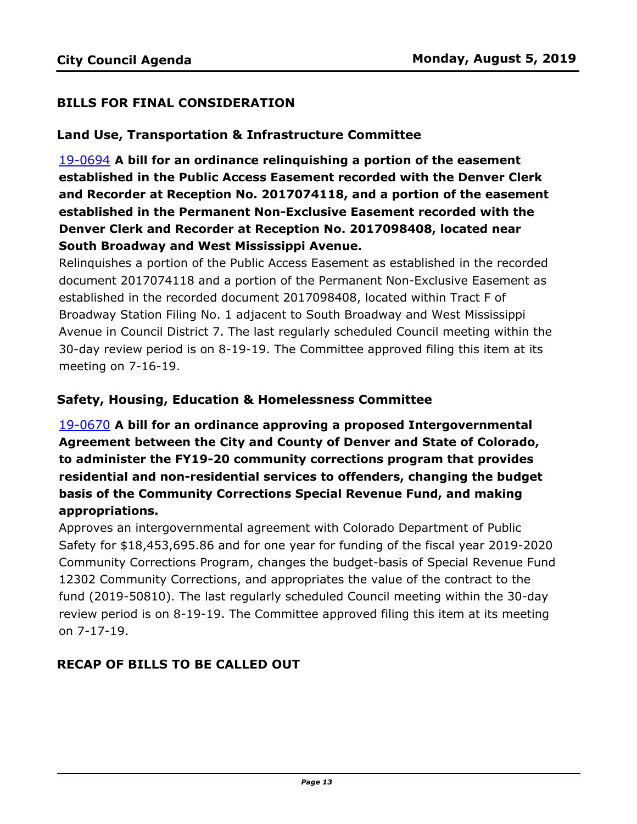### **BILLS FOR FINAL CONSIDERATION**

#### **Land Use, Transportation & Infrastructure Committee**

19-0694 **A bill for an ordinance relinquishing a portion of the easement established in the Public Access Easement recorded with the Denver Clerk and Recorder at Reception No. 2017074118, and a portion of the easement established in the Permanent Non-Exclusive Easement recorded with the Denver Clerk and Recorder at Reception No. 2017098408, located near South Broadway and West Mississippi Avenue.**

Relinquishes a portion of the Public Access Easement as established in the recorded document 2017074118 and a portion of the Permanent Non-Exclusive Easement as established in the recorded document 2017098408, located within Tract F of Broadway Station Filing No. 1 adjacent to South Broadway and West Mississippi [Avenue in Council District 7. The last regularly scheduled Council meeting within the](http://denver.legistar.com/gateway.aspx?m=l&id=/matter.aspx?key=15235)  30-day review period is on 8-19-19. The Committee approved filing this item at its meeting on 7-16-19.

#### **Safety, Housing, Education & Homelessness Committee**

19-0670 **A bill for an ordinance approving a proposed Intergovernmental Agreement between the City and County of Denver and State of Colorado, to administer the FY19-20 community corrections program that provides residential and non-residential services to offenders, changing the budget basis of the Community Corrections Special Revenue Fund, and making appropriations.**

Approves an intergovernmental agreement with Colorado Department of Public Safety for \$18,453,695.86 and for one year for funding of the fiscal year 2019-2020 [Community Corrections Program, changes the budget-basis of Special Revenue Fund](http://denver.legistar.com/gateway.aspx?m=l&id=/matter.aspx?key=15211)  12302 Community Corrections, and appropriates the value of the contract to the fund (2019-50810). The last regularly scheduled Council meeting within the 30-day review period is on 8-19-19. The Committee approved filing this item at its meeting on 7-17-19.

# **RECAP OF BILLS TO BE CALLED OUT**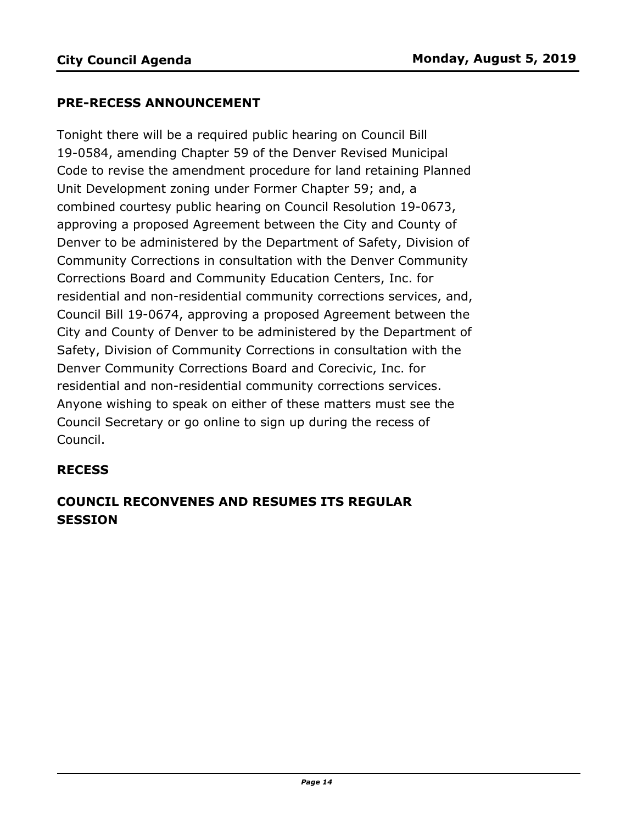#### **PRE-RECESS ANNOUNCEMENT**

Tonight there will be a required public hearing on Council Bill 19-0584, amending Chapter 59 of the Denver Revised Municipal Code to revise the amendment procedure for land retaining Planned Unit Development zoning under Former Chapter 59; and, a combined courtesy public hearing on Council Resolution 19-0673, approving a proposed Agreement between the City and County of Denver to be administered by the Department of Safety, Division of Community Corrections in consultation with the Denver Community Corrections Board and Community Education Centers, Inc. for residential and non-residential community corrections services, and, Council Bill 19-0674, approving a proposed Agreement between the City and County of Denver to be administered by the Department of Safety, Division of Community Corrections in consultation with the Denver Community Corrections Board and Corecivic, Inc. for residential and non-residential community corrections services. Anyone wishing to speak on either of these matters must see the Council Secretary or go online to sign up during the recess of Council.

#### **RECESS**

# **COUNCIL RECONVENES AND RESUMES ITS REGULAR SESSION**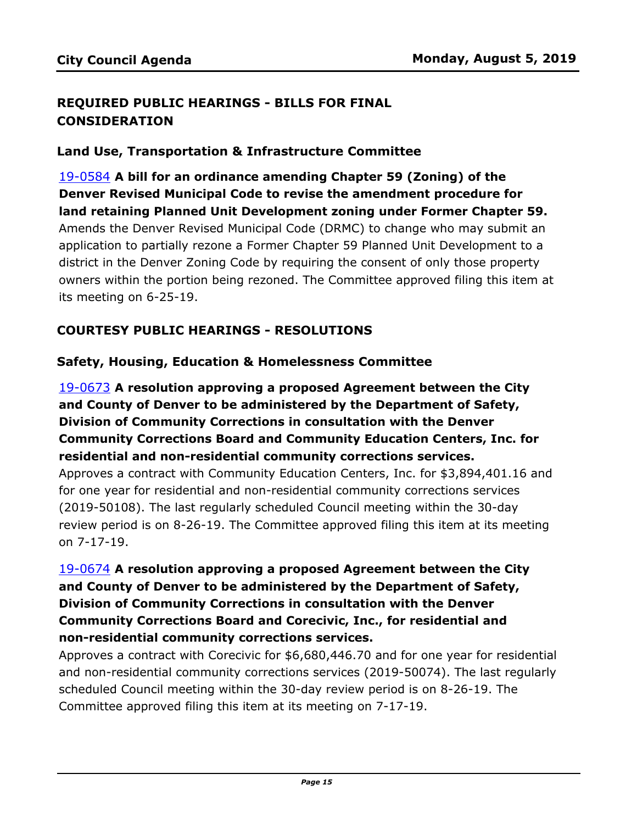## **REQUIRED PUBLIC HEARINGS - BILLS FOR FINAL CONSIDERATION**

#### **Land Use, Transportation & Infrastructure Committee**

19-0584 **A bill for an ordinance amending Chapter 59 (Zoning) of the Denver Revised Municipal Code to revise the amendment procedure for land retaining Planned Unit Development zoning under Former Chapter 59.** Amends the Denver Revised Municipal Code (DRMC) to change who may submit an application to partially rezone a Former Chapter 59 Planned Unit Development to a district in the Denver Zoning Code by requiring the consent of only those property [owners within the portion being rezoned. The Committee approved filing this item at](http://denver.legistar.com/gateway.aspx?m=l&id=/matter.aspx?key=15125)  its meeting on 6-25-19.

#### **COURTESY PUBLIC HEARINGS - RESOLUTIONS**

#### **Safety, Housing, Education & Homelessness Committee**

19-0673 **A resolution approving a proposed Agreement between the City and County of Denver to be administered by the Department of Safety, Division of Community Corrections in consultation with the Denver Community Corrections Board and Community Education Centers, Inc. for residential and non-residential community corrections services.**

[Approves a contract with Community Education Centers, Inc. for \\$3,894,401.16 and](http://denver.legistar.com/gateway.aspx?m=l&id=/matter.aspx?key=15214)  for one year for residential and non-residential community corrections services (2019-50108). The last regularly scheduled Council meeting within the 30-day review period is on 8-26-19. The Committee approved filing this item at its meeting on 7-17-19.

# 19-0674 **A resolution approving a proposed Agreement between the City and County of Denver to be administered by the Department of Safety, Division of Community Corrections in consultation with the Denver Community Corrections Board and Corecivic, Inc., for residential and non-residential community corrections services.**

[Approves a contract with Corecivic for \\$6,680,446.70 and for one year for residential](http://denver.legistar.com/gateway.aspx?m=l&id=/matter.aspx?key=15215)  and non-residential community corrections services (2019-50074). The last regularly scheduled Council meeting within the 30-day review period is on 8-26-19. The Committee approved filing this item at its meeting on 7-17-19.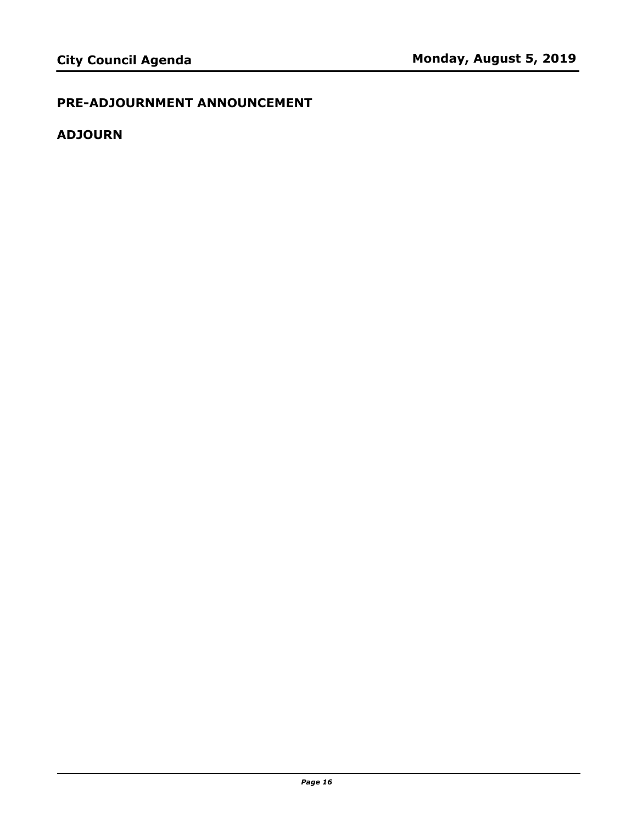# **PRE-ADJOURNMENT ANNOUNCEMENT**

# **ADJOURN**